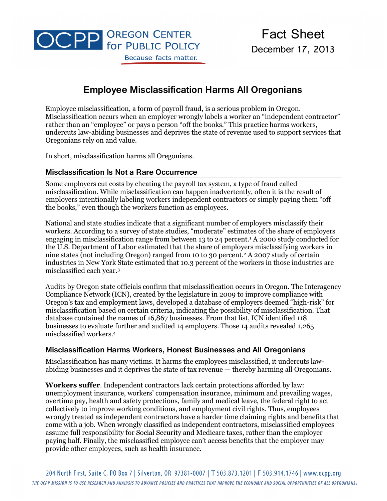

# **Employee Misclassification Harms All Oregonians**

Employee misclassification, a form of payroll fraud, is a serious problem in Oregon. Misclassification occurs when an employer wrongly labels a worker an "independent contractor" rather than an "employee" or pays a person "off the books." This practice harms workers, undercuts law-abiding businesses and deprives the state of revenue used to support services that Oregonians rely on and value.

In short, misclassification harms all Oregonians.

# **Misclassification Is Not a Rare Occurrence**

Some employers cut costs by cheating the payroll tax system, a type of fraud called misclassification. While misclassification can happen inadvertently, often it is the result of employers intentionally labeling workers independent contractors or simply paying them "off the books," even though the workers function as employees.

National and state studies indicate that a significant number of employers misclassify their workers. According to a survey of state studies, "moderate" estimates of the share of employers engaging in misclassification range from between 13 to 24 percent.<sup>1</sup> A 2000 study conducted for the U.S. Department of Labor estimated that the share of employers misclassifying workers in nine states (not including Oregon) ranged from 10 to 30 percent.<sup>2</sup> A 2007 study of certain industries in New York State estimated that 10.3 percent of the workers in those industries are misclassified each year. 3

Audits by Oregon state officials confirm that misclassification occurs in Oregon. The Interagency Compliance Network (ICN), created by the legislature in 2009 to improve compliance with Oregon's tax and employment laws, developed a database of employers deemed "high-risk" for misclassification based on certain criteria, indicating the possibility of misclassification. That database contained the names of 16,867 businesses. From that list, ICN identified 118 businesses to evaluate further and audited 14 employers. Those 14 audits revealed 1,265 misclassified workers.<sup>4</sup>

### **Misclassification Harms Workers, Honest Businesses and All Oregonians**

Misclassification has many victims. It harms the employees misclassified, it undercuts lawabiding businesses and it deprives the state of tax revenue — thereby harming all Oregonians.

**Workers suffer**. Independent contractors lack certain protections afforded by law: unemployment insurance, workers' compensation insurance, minimum and prevailing wages, overtime pay, health and safety protections, family and medical leave, the federal right to act collectively to improve working conditions, and employment civil rights. Thus, employees wrongly treated as independent contractors have a harder time claiming rights and benefits that come with a job. When wrongly classified as independent contractors, misclassified employees assume full responsibility for Social Security and Medicare taxes, rather than the employer paying half. Finally, the misclassified employee can't access benefits that the employer may provide other employees, such as health insurance.